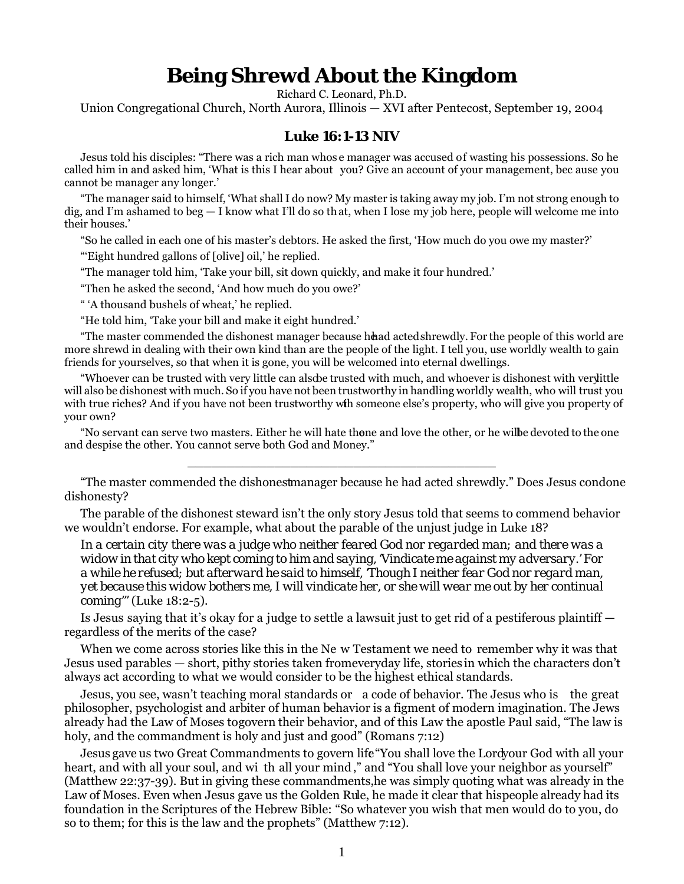## **Being Shrewd About the Kingdom**

Richard C. Leonard, Ph.D.

Union Congregational Church, North Aurora, Illinois — XVI after Pentecost, September 19, 2004

## **Luke 16:1-13 NIV**

Jesus told his disciples: "There was a rich man whos e manager was accused of wasting his possessions. So he called him in and asked him, 'What is this I hear about you? Give an account of your management, bec ause you cannot be manager any longer.'

"The manager said to himself, 'What shall I do now? My master is taking away my job. I'm not strong enough to dig, and I'm ashamed to beg — I know what I'll do so that, when I lose my job here, people will welcome me into their houses.'

"So he called in each one of his master's debtors. He asked the first, 'How much do you owe my master?'

"'Eight hundred gallons of [olive] oil,' he replied.

"The manager told him, 'Take your bill, sit down quickly, and make it four hundred.'

"Then he asked the second, 'And how much do you owe?'

" 'A thousand bushels of wheat,' he replied.

"He told him, 'Take your bill and make it eight hundred.'

"The master commended the dishonest manager because head acted shrewdly. For the people of this world are more shrewd in dealing with their own kind than are the people of the light. I tell you, use worldly wealth to gain friends for yourselves, so that when it is gone, you will be welcomed into eternal dwellings.

"Whoever can be trusted with very little can also be trusted with much, and whoever is dishonest with very little will also be dishonest with much. So if you have not been trustworthy in handling worldly wealth, who will trust you with true riches? And if you have not been trustworthy with someone else's property, who will give you property of your own?

"No servant can serve two masters. Either he will hate thene and love the other, or he wilbe devoted to the one and despise the other. You cannot serve both God and Money."

\_\_\_\_\_\_\_\_\_\_\_\_\_\_\_\_\_\_\_\_\_\_\_\_\_\_\_\_\_\_\_\_\_\_\_\_\_\_\_

"The master commended the dishonest manager because he had acted shrewdly." Does Jesus condone dishonesty?

The parable of the dishonest steward isn't the only story Jesus told that seems to commend behavior we wouldn't endorse. For example, what about the parable of the unjust judge in Luke 18?

*In a certain city there was a judge who neither feared God nor regarded man; and there was a widow in that city who kept coming to him and saying, 'Vindicate me against my adversary.' For a while he refused; but afterward he said to himself, 'Though I neither fear God nor regard man, yet because this widow bothers me, I will vindicate her, or she will wear me out by her continual coming'"* (Luke 18:2-5).

Is Jesus saying that it's okay for a judge to settle a lawsuit just to get rid of a pestiferous plaintiff regardless of the merits of the case?

When we come across stories like this in the Ne w Testament we need to remember why it was that Jesus used parables — short, pithy stories taken fromeveryday life, stories in which the characters don't always act according to what we would consider to be the highest ethical standards.

Jesus, you see, wasn't teaching moral standards or a code of behavior. The Jesus who is the great philosopher, psychologist and arbiter of human behavior is a figment of modern imagination. The Jews already had the Law of Moses to govern their behavior, and of this Law the apostle Paul said, "The law is holy, and the commandment is holy and just and good" (Romans 7:12)

Jesus gave us two Great Commandments to govern life "You shall love the Lord your God with all your heart, and with all your soul, and wi th all your mind," and "You shall love your neighbor as yourself" (Matthew 22:37-39). But in giving these commandments, he was simply quoting what was already in the Law of Moses. Even when Jesus gave us the Golden Rule, he made it clear that his people already had its foundation in the Scriptures of the Hebrew Bible: "So whatever you wish that men would do to you, do so to them; for this is the law and the prophets" (Matthew 7:12).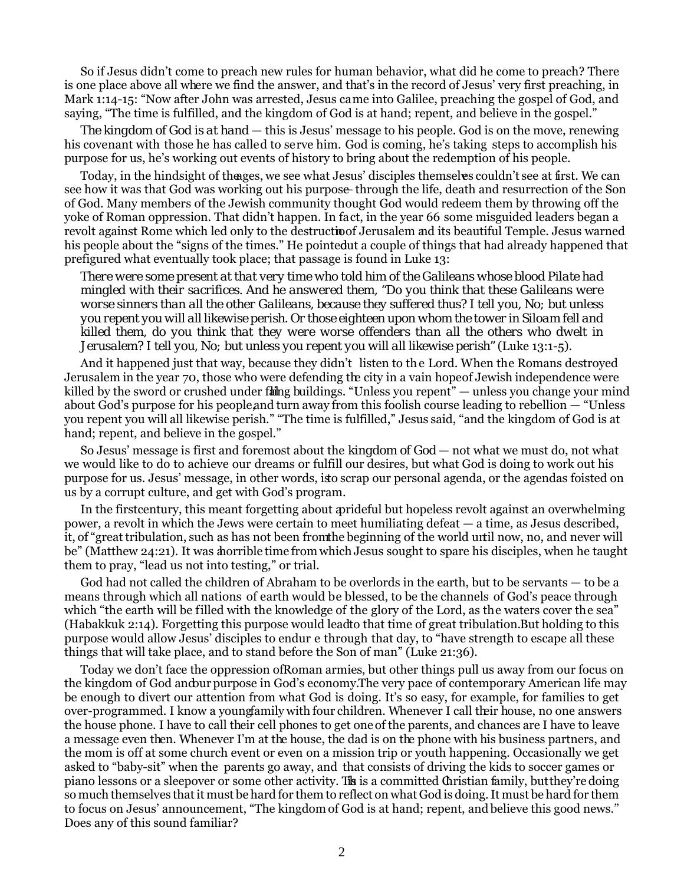So if Jesus didn't come to preach new rules for human behavior, what did he come to preach? There is one place above all where we find the answer, and that's in the record of Jesus' very first preaching, in Mark 1:14-15: "Now after John was arrested, Jesus came into Galilee, preaching the gospel of God, and saying, "The time is fulfilled, and the kingdom of God is at hand; repent, and believe in the gospel."

*The kingdom of God is at hand* — this is Jesus' message to his people. God is on the move, renewing his covenant with those he has called to serve him. God is coming, he's taking steps to accomplish his purpose for us, he's working out events of history to bring about the redemption of his people.

Today, in the hindsight of the ages, we see what Jesus' disciples themselves couldn't see at first. We can see how it was that God was working out his purpose-through the life, death and resurrection of the Son of God. Many members of the Jewish community thought God would redeem them by throwing off the yoke of Roman oppression. That didn't happen. In fact, in the year 66 some misguided leaders began a revolt against Rome which led only to the destruction Jerusalem and its beautiful Temple. Jesus warned his people about the "signs of the times." He pointedut a couple of things that had already happened that prefigured what eventually took place; that passage is found in Luke 13:

*There were some present at that very time who told him of the Galileans whose blood Pilate had mingled with their sacrifices. And he answered them, "Do you think that these Galileans were worse sinners than all the other Galileans, because they suffered thus? I tell you, No; but unless you repent you will all likewise perish. Or those eighteen upon whom the tower in Siloam fell and killed them, do you think that they were worse offenders than all the others who dwelt in Jerusalem? I tell you, No; but unless you repent you will all likewise perish"* (Luke 13:1-5).

And it happened just that way, because they didn't listen to th e Lord. When the Romans destroyed Jerusalem in the year 70, those who were defending the city in a vain hope of Jewish independence were killed by the sword or crushed under falling buildings. "Unless you repent" — unless you change your mind about God's purpose for his people, and turn away from this foolish course leading to rebellion  $-$  "Unless" you repent you will all likewise perish." "The time is fulfilled," Jesus said, "and the kingdom of God is at hand; repent, and believe in the gospel."

So Jesus' message is first and foremost about the *kingdom of God* — not what we must do, not what we would like to do to achieve our dreams or fulfill our desires, but what God is doing to work out his purpose for us. Jesus' message, in other words, is to scrap our personal agenda, or the agendas foisted on us by a corrupt culture, and get with God's program.

In the first century, this meant forgetting about a prideful but hopeless revolt against an overwhelming power, a revolt in which the Jews were certain to meet humiliating defeat — a time, as Jesus described, it, of "great tribulation, such as has not been from the beginning of the world until now, no, and never will be" (Matthew 24:21). It was a horrible time from which Jesus sought to spare his disciples, when he taught them to pray, "lead us not into testing," or trial.

God had not called the children of Abraham to be overlords in the earth, but to be servants — to be a means through which all nations of earth would be blessed, to be the channels of God's peace through which "the earth will be filled with the knowledge of the glory of the Lord, as the waters cover the sea" (Habakkuk 2:14). Forgetting this purpose would lead to that time of great tribulation. But holding to this purpose would allow Jesus' disciples to endur e through that day, to "have strength to escape all these things that will take place, and to stand before the Son of man" (Luke 21:36).

Today we don't face the oppression of Roman armies, but other things pull us away from our focus on the kingdom of God and a purpose in God's economy. The very pace of contemporary American life may be enough to divert our attention from what God is doing. It's so easy, for example, for families to get over-programmed. I know a young family with four children. Whenever I call their house, no one answers the house phone. I have to call their cell phones to get one of the parents, and chances are I have to leave a message even then. Whenever I'm at the house, the dad is on the phone with his business partners, and the mom is off at some church event or even on a mission trip or youth happening. Occasionally we get asked to "baby-sit" when the parents go away, and that consists of driving the kids to soccer games or piano lessons or a sleepover or some other activity. This is a committed Christian family, but they're doing so much themselves that it must be hard for them to reflect on what God is doing. It must be hard for them to focus on Jesus' announcement, "The kingdom of God is at hand; repent, and believe this good news." Does any of this sound familiar?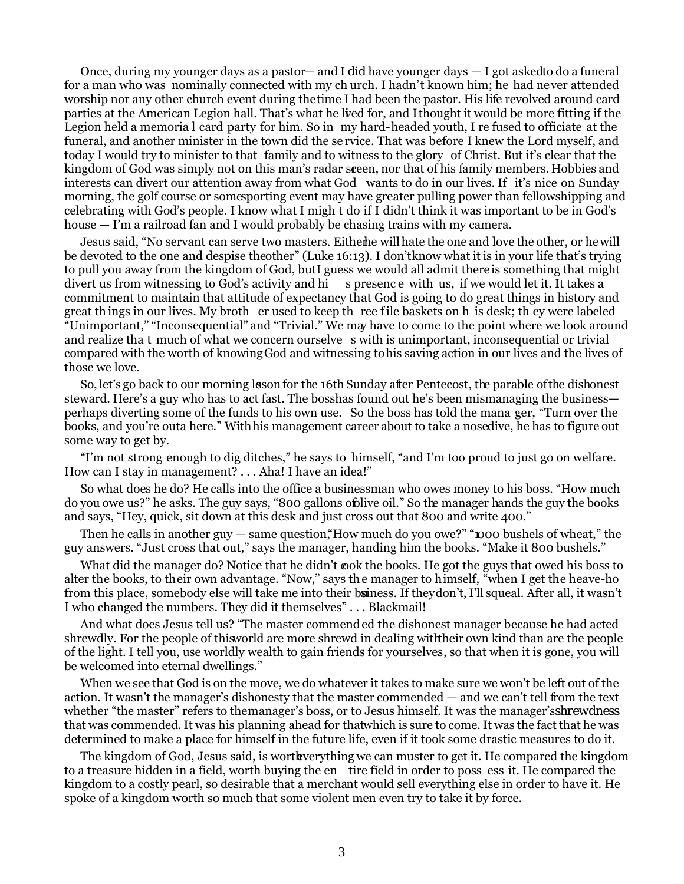Once, during my younger days as a pastor— and I *did* have younger days — I got asked to do a funeral for a man who was nominally connected with my ch urch. I hadn't known him; he had never attended worship nor any other church event during the time I had been the pastor. His life revolved around card parties at the American Legion hall. That's what he lived for, and I thought it would be more fitting if the Legion held a memoria l card party for him. So in my hard-headed youth, I re fused to officiate at the funeral, and another minister in the town did the se rvice. That was before I knew the Lord myself, and today I would try to minister to that family and to witness to the glory of Christ. But it's clear that the kingdom of God was simply not on this man's radar sceen, nor that of his family members. Hobbies and interests can divert our attention away from what God wants to do in our lives. If it's nice on Sunday morning, the golf course or somesporting event may have greater pulling power than fellowshipping and celebrating with God's people. I know what I migh t do if I didn't think it was important to be in God's house — I'm a railroad fan and I would probably be chasing trains with my camera.

Jesus said, "No servant can serve two masters. Either he will hate the one and love the other, or he will be devoted to the one and despise the other" (Luke 16:13). I don't know what it is in your life that's trying to pull you away from the kingdom of God, butI guess we would all admit there is something that might divert us from witnessing to God's activity and hi s presence with us, if we would let it. It takes a commitment to maintain that attitude of expectancy that God is going to do great things in history and great th ings in our lives. My broth er used to keep th ree f ile baskets on h is desk; th ey were labeled "Unimportant," "Inconsequential" and "Trivial." We may have to come to the point where we look around and realize tha t much of what we concern ourselve s with is unimportant, inconsequential or trivial compared with the worth of knowing God and witnessing to his saving action in our lives and the lives of those we love.

So, let's go back to our morning lesson for the 16th Sunday after Pentecost, the parable of the dishonest steward. Here's a guy who has to act fast. The bosshas found out he's been mismanaging the business perhaps diverting some of the funds to his own use. So the boss has told the mana ger, "Turn over the books, and you're outa here." With his management career about to take a nosedive, he has to figure out some way to get by.

"I'm not strong enough to dig ditches," he says to himself, "and I'm too proud to just go on welfare. How can I stay in management? . . . Aha! I have an idea!"

So what does he do? He calls into the office a businessman who owes money to his boss. "How much do you owe us?" he asks. The guy says, "800 gallons of olive oil." So the manager hands the guy the books and says, "Hey, quick, sit down at this desk and just cross out that 800 and write 400."

Then he calls in another guy  $-$  same question, "How much do you owe?" "**DOO** bushels of wheat," the guy answers. "Just cross that out," says the manager, handing him the books. "Make it 800 bushels."

What did the manager do? Notice that he didn't cook the books. He got the guys that owed his boss to alter the books, to their own advantage. "Now," says th e manager to himself, "when I get the heave-ho from this place, somebody else will take me into their buiness. If they don't, I'll squeal. After all, it wasn't *I* who changed the numbers. They did it themselves" . . . Blackmail!

And what does Jesus tell us? "The master commended the dishonest manager because he had acted shrewdly. For the people of this world are more shrewd in dealing with their own kind than are the people of the light. I tell you, use worldly wealth to gain friends for yourselves, so that when it is gone, you will be welcomed into eternal dwellings."

When we see that God is on the move, we do whatever it takes to make sure we won't be left out of the action. It wasn't the manager's dishonesty that the master commended — and we can't tell from the text whether "the master" refers to the manager's boss, or to Jesus himself. It was the manager's *shrewdness* that was commended. It was his planning ahead for that which is sure to come. It was the fact that he was determined to make a place for himself in the future life, even if it took some drastic measures to do it.

The kingdom of God, Jesus said, is worthe everything we can muster to get it. He compared the kingdom to a treasure hidden in a field, worth buying the en tire field in order to poss ess it. He compared the kingdom to a costly pearl, so desirable that a merchant would sell everything else in order to have it. He spoke of a kingdom worth so much that some violent men even try to take it by force.